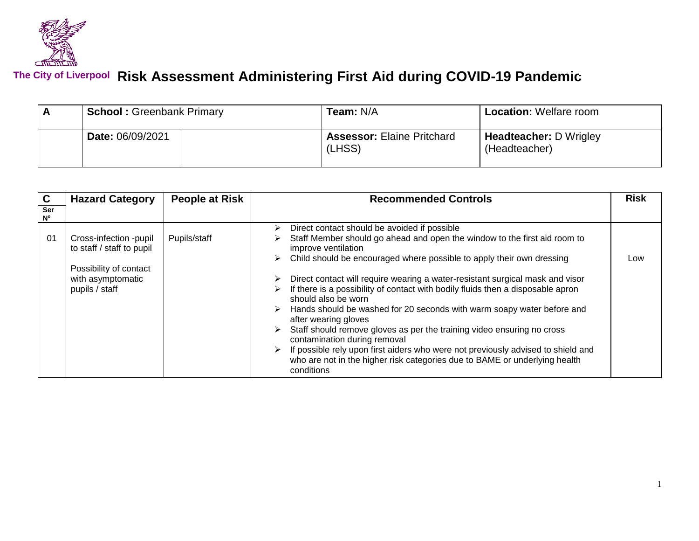

## **Risk Assessment Administering First Aid during COVID-19 Pandemic The City of Liverpool**

| <b>School: Greenbank Primary</b> | <b>Team: N/A</b>                            | <b>Location: Welfare room</b>                  |  |
|----------------------------------|---------------------------------------------|------------------------------------------------|--|
| Date: 06/09/2021                 | <b>Assessor: Elaine Pritchard</b><br>(LHSS) | <b>Headteacher: D Wrigley</b><br>(Headteacher) |  |

| $\mathbf c$        | <b>Hazard Category</b><br><b>People at Risk</b>                                                                      |              | <b>Recommended Controls</b>                                                                                                                                                                                                                                                                                                                                                                                                                                                                                                                                                                                                                                                                                                                                                                                                                    |     |
|--------------------|----------------------------------------------------------------------------------------------------------------------|--------------|------------------------------------------------------------------------------------------------------------------------------------------------------------------------------------------------------------------------------------------------------------------------------------------------------------------------------------------------------------------------------------------------------------------------------------------------------------------------------------------------------------------------------------------------------------------------------------------------------------------------------------------------------------------------------------------------------------------------------------------------------------------------------------------------------------------------------------------------|-----|
| Ser<br>$N^{\circ}$ |                                                                                                                      |              |                                                                                                                                                                                                                                                                                                                                                                                                                                                                                                                                                                                                                                                                                                                                                                                                                                                |     |
| 01                 | Cross-infection -pupil<br>to staff / staff to pupil<br>Possibility of contact<br>with asymptomatic<br>pupils / staff | Pupils/staff | Direct contact should be avoided if possible<br>➤<br>Staff Member should go ahead and open the window to the first aid room to<br>improve ventilation<br>Child should be encouraged where possible to apply their own dressing<br>➤<br>Direct contact will require wearing a water-resistant surgical mask and visor<br>⋗<br>If there is a possibility of contact with bodily fluids then a disposable apron<br>⋗<br>should also be worn<br>Hands should be washed for 20 seconds with warm soapy water before and<br>after wearing gloves<br>Staff should remove gloves as per the training video ensuring no cross<br>⋗<br>contamination during removal<br>If possible rely upon first aiders who were not previously advised to shield and<br>➤<br>who are not in the higher risk categories due to BAME or underlying health<br>conditions | Low |